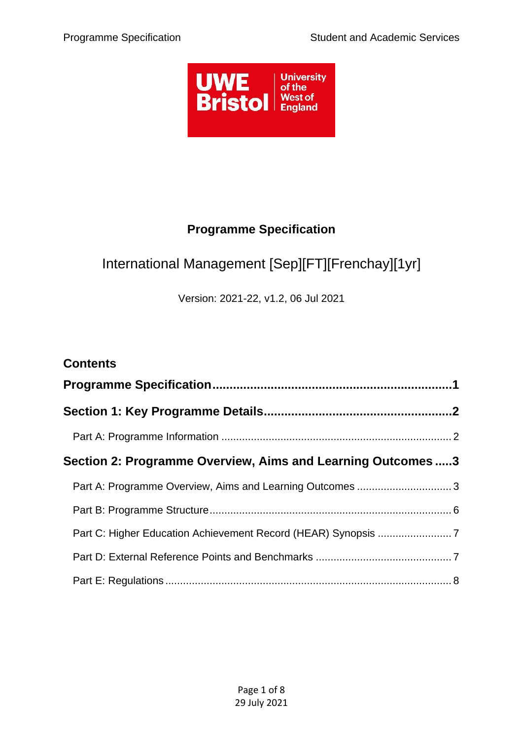

## **Programme Specification**

# <span id="page-0-0"></span>International Management [Sep][FT][Frenchay][1yr]

Version: 2021-22, v1.2, 06 Jul 2021

| <b>Contents</b>                                             |  |  |
|-------------------------------------------------------------|--|--|
|                                                             |  |  |
|                                                             |  |  |
|                                                             |  |  |
| Section 2: Programme Overview, Aims and Learning Outcomes 3 |  |  |
| Part A: Programme Overview, Aims and Learning Outcomes  3   |  |  |
|                                                             |  |  |
|                                                             |  |  |
|                                                             |  |  |
|                                                             |  |  |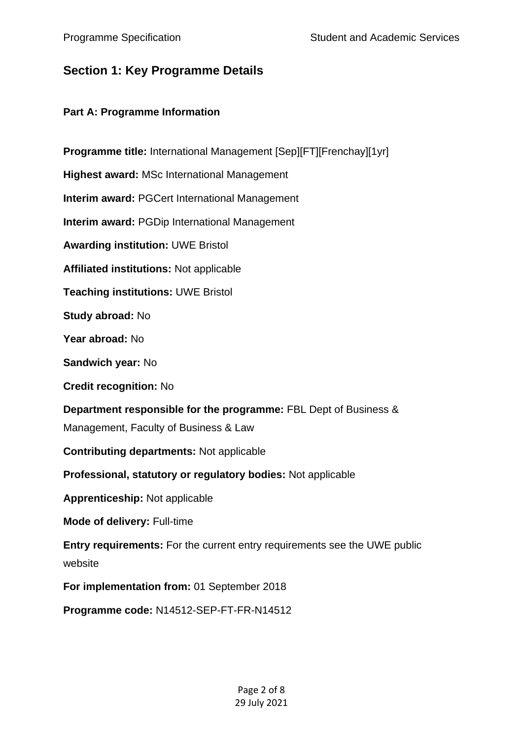## <span id="page-1-0"></span>**Section 1: Key Programme Details**

#### <span id="page-1-1"></span>**Part A: Programme Information**

**Programme title:** International Management [Sep][FT][Frenchay][1yr] **Highest award:** MSc International Management **Interim award:** PGCert International Management **Interim award:** PGDip International Management **Awarding institution:** UWE Bristol **Affiliated institutions:** Not applicable **Teaching institutions:** UWE Bristol **Study abroad:** No **Year abroad:** No **Sandwich year:** No **Credit recognition:** No **Department responsible for the programme: FBL Dept of Business &** Management, Faculty of Business & Law **Contributing departments:** Not applicable **Professional, statutory or regulatory bodies:** Not applicable **Apprenticeship:** Not applicable **Mode of delivery:** Full-time **Entry requirements:** For the current entry requirements see the UWE public website **For implementation from:** 01 September 2018 **Programme code:** N14512-SEP-FT-FR-N14512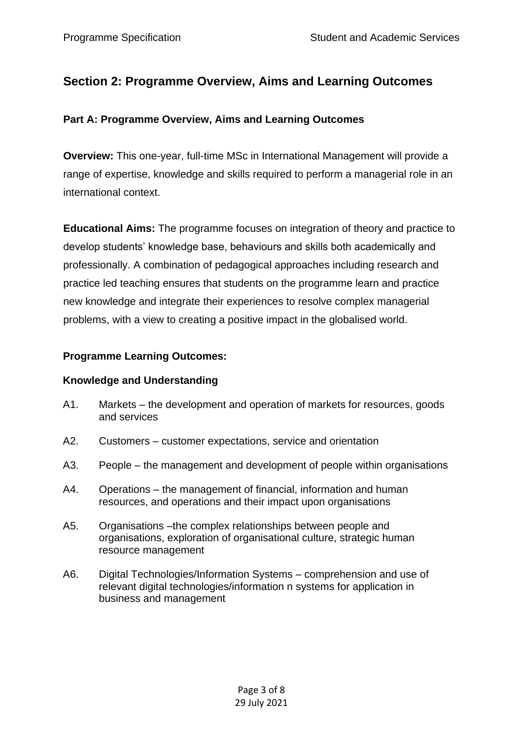## <span id="page-2-0"></span>**Section 2: Programme Overview, Aims and Learning Outcomes**

#### <span id="page-2-1"></span>**Part A: Programme Overview, Aims and Learning Outcomes**

**Overview:** This one-year, full-time MSc in International Management will provide a range of expertise, knowledge and skills required to perform a managerial role in an international context.

**Educational Aims:** The programme focuses on integration of theory and practice to develop students' knowledge base, behaviours and skills both academically and professionally. A combination of pedagogical approaches including research and practice led teaching ensures that students on the programme learn and practice new knowledge and integrate their experiences to resolve complex managerial problems, with a view to creating a positive impact in the globalised world.

#### **Programme Learning Outcomes:**

#### **Knowledge and Understanding**

- A1. Markets the development and operation of markets for resources, goods and services
- A2. Customers customer expectations, service and orientation
- A3. People the management and development of people within organisations
- A4. Operations the management of financial, information and human resources, and operations and their impact upon organisations
- A5. Organisations –the complex relationships between people and organisations, exploration of organisational culture, strategic human resource management
- A6. Digital Technologies/Information Systems comprehension and use of relevant digital technologies/information n systems for application in business and management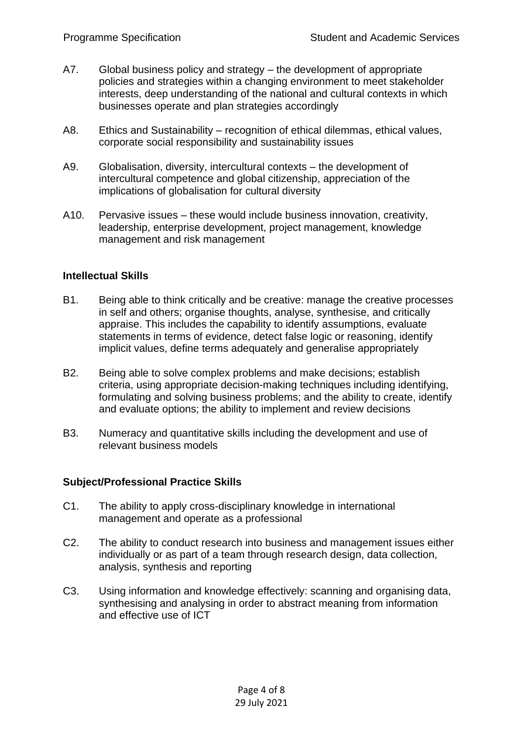- A7. Global business policy and strategy the development of appropriate policies and strategies within a changing environment to meet stakeholder interests, deep understanding of the national and cultural contexts in which businesses operate and plan strategies accordingly
- A8. Ethics and Sustainability recognition of ethical dilemmas, ethical values, corporate social responsibility and sustainability issues
- A9. Globalisation, diversity, intercultural contexts the development of intercultural competence and global citizenship, appreciation of the implications of globalisation for cultural diversity
- A10. Pervasive issues these would include business innovation, creativity, leadership, enterprise development, project management, knowledge management and risk management

#### **Intellectual Skills**

- B1. Being able to think critically and be creative: manage the creative processes in self and others; organise thoughts, analyse, synthesise, and critically appraise. This includes the capability to identify assumptions, evaluate statements in terms of evidence, detect false logic or reasoning, identify implicit values, define terms adequately and generalise appropriately
- B2. Being able to solve complex problems and make decisions; establish criteria, using appropriate decision-making techniques including identifying, formulating and solving business problems; and the ability to create, identify and evaluate options; the ability to implement and review decisions
- B3. Numeracy and quantitative skills including the development and use of relevant business models

#### **Subject/Professional Practice Skills**

- C1. The ability to apply cross-disciplinary knowledge in international management and operate as a professional
- C2. The ability to conduct research into business and management issues either individually or as part of a team through research design, data collection, analysis, synthesis and reporting
- C3. Using information and knowledge effectively: scanning and organising data, synthesising and analysing in order to abstract meaning from information and effective use of ICT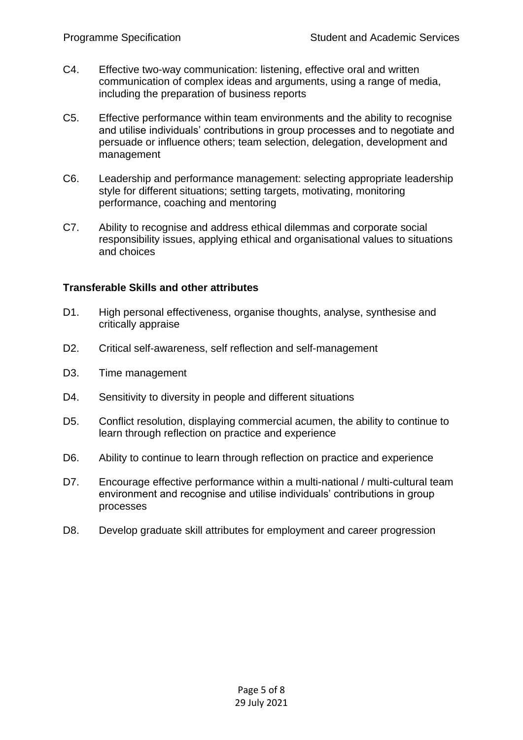- C4. Effective two-way communication: listening, effective oral and written communication of complex ideas and arguments, using a range of media, including the preparation of business reports
- C5. Effective performance within team environments and the ability to recognise and utilise individuals' contributions in group processes and to negotiate and persuade or influence others; team selection, delegation, development and management
- C6. Leadership and performance management: selecting appropriate leadership style for different situations; setting targets, motivating, monitoring performance, coaching and mentoring
- C7. Ability to recognise and address ethical dilemmas and corporate social responsibility issues, applying ethical and organisational values to situations and choices

#### **Transferable Skills and other attributes**

- D1. High personal effectiveness, organise thoughts, analyse, synthesise and critically appraise
- D2. Critical self-awareness, self reflection and self-management
- D3. Time management
- D4. Sensitivity to diversity in people and different situations
- D5. Conflict resolution, displaying commercial acumen, the ability to continue to learn through reflection on practice and experience
- D6. Ability to continue to learn through reflection on practice and experience
- D7. Encourage effective performance within a multi-national / multi-cultural team environment and recognise and utilise individuals' contributions in group processes
- D8. Develop graduate skill attributes for employment and career progression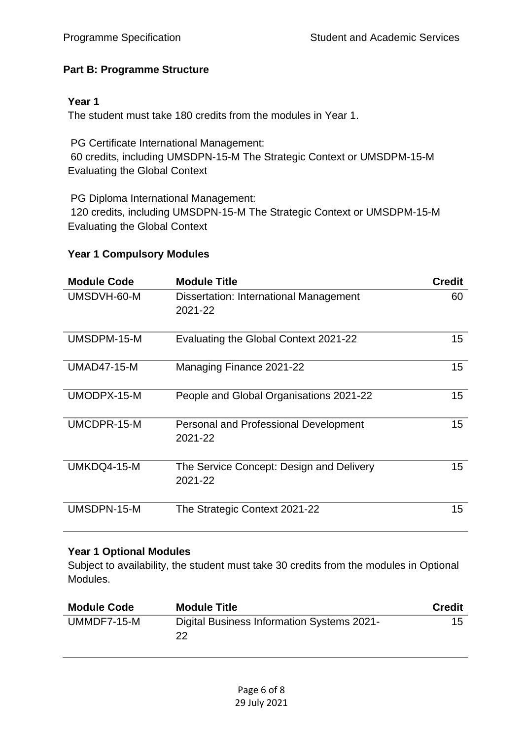#### <span id="page-5-0"></span>**Part B: Programme Structure**

#### **Year 1**

The student must take 180 credits from the modules in Year 1.

PG Certificate International Management: 60 credits, including UMSDPN-15-M The Strategic Context or UMSDPM-15-M Evaluating the Global Context

PG Diploma International Management: 120 credits, including UMSDPN-15-M The Strategic Context or UMSDPM-15-M Evaluating the Global Context

#### **Year 1 Compulsory Modules**

| <b>Module Code</b> | <b>Module Title</b>                                     | <b>Credit</b> |
|--------------------|---------------------------------------------------------|---------------|
| UMSDVH-60-M        | Dissertation: International Management<br>2021-22       | 60            |
| UMSDPM-15-M        | Evaluating the Global Context 2021-22                   | 15            |
| <b>UMAD47-15-M</b> | Managing Finance 2021-22                                | 15            |
| UMODPX-15-M        | People and Global Organisations 2021-22                 | 15            |
| UMCDPR-15-M        | <b>Personal and Professional Development</b><br>2021-22 | 15            |
| UMKDQ4-15-M        | The Service Concept: Design and Delivery<br>2021-22     | 15            |
| UMSDPN-15-M        | The Strategic Context 2021-22                           | 15            |

#### **Year 1 Optional Modules**

Subject to availability, the student must take 30 credits from the modules in Optional Modules.

| <b>Module Code</b> | <b>Module Title</b>                              | Credit |
|--------------------|--------------------------------------------------|--------|
| UMMDF7-15-M        | Digital Business Information Systems 2021-<br>22 | 15     |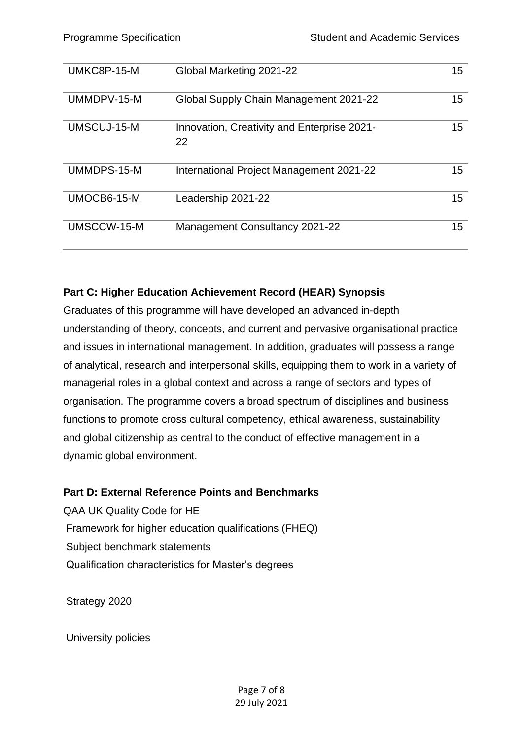| UMKC8P-15-M | Global Marketing 2021-22                          | 15 |
|-------------|---------------------------------------------------|----|
| UMMDPV-15-M | Global Supply Chain Management 2021-22            | 15 |
| UMSCUJ-15-M | Innovation, Creativity and Enterprise 2021-<br>22 | 15 |
| UMMDPS-15-M | International Project Management 2021-22          | 15 |
| UMOCB6-15-M | Leadership 2021-22                                | 15 |
| UMSCCW-15-M | <b>Management Consultancy 2021-22</b>             | 15 |

#### <span id="page-6-0"></span>**Part C: Higher Education Achievement Record (HEAR) Synopsis**

Graduates of this programme will have developed an advanced in-depth understanding of theory, concepts, and current and pervasive organisational practice and issues in international management. In addition, graduates will possess a range of analytical, research and interpersonal skills, equipping them to work in a variety of managerial roles in a global context and across a range of sectors and types of organisation. The programme covers a broad spectrum of disciplines and business functions to promote cross cultural competency, ethical awareness, sustainability and global citizenship as central to the conduct of effective management in a dynamic global environment.

#### <span id="page-6-1"></span>**Part D: External Reference Points and Benchmarks**

QAA UK Quality Code for HE Framework for higher education qualifications (FHEQ) Subject benchmark statements Qualification characteristics for Master's degrees

Strategy 2020

University policies